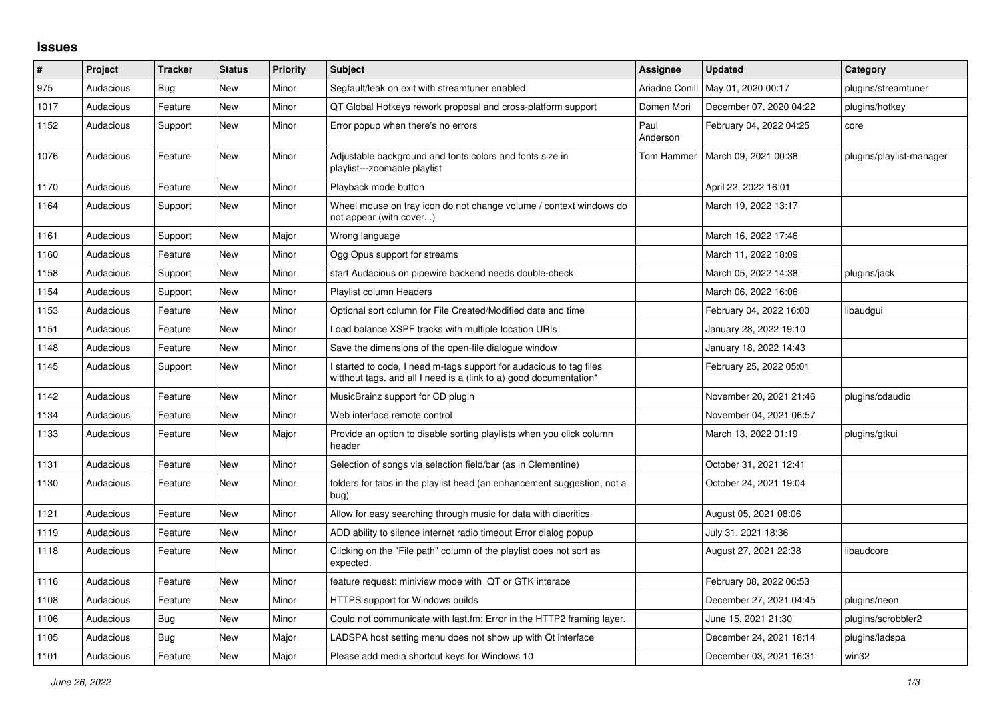## **Issues**

| $\sharp$ | Project   | <b>Tracker</b> | <b>Status</b> | <b>Priority</b> | <b>Subject</b>                                                                                                                            | <b>Assignee</b>  | <b>Updated</b>          | Category                 |
|----------|-----------|----------------|---------------|-----------------|-------------------------------------------------------------------------------------------------------------------------------------------|------------------|-------------------------|--------------------------|
| 975      | Audacious | Bug            | New           | Minor           | Segfault/leak on exit with streamtuner enabled                                                                                            | Ariadne Conill   | May 01, 2020 00:17      | plugins/streamtuner      |
| 1017     | Audacious | Feature        | <b>New</b>    | Minor           | QT Global Hotkeys rework proposal and cross-platform support                                                                              | Domen Mori       | December 07, 2020 04:22 | plugins/hotkey           |
| 1152     | Audacious | Support        | <b>New</b>    | Minor           | Error popup when there's no errors                                                                                                        | Paul<br>Anderson | February 04, 2022 04:25 | core                     |
| 1076     | Audacious | Feature        | <b>New</b>    | Minor           | Adjustable background and fonts colors and fonts size in<br>playlist---zoomable playlist                                                  | Tom Hammer       | March 09, 2021 00:38    | plugins/playlist-manager |
| 1170     | Audacious | Feature        | <b>New</b>    | Minor           | Playback mode button                                                                                                                      |                  | April 22, 2022 16:01    |                          |
| 1164     | Audacious | Support        | New           | Minor           | Wheel mouse on tray icon do not change volume / context windows do<br>not appear (with cover)                                             |                  | March 19, 2022 13:17    |                          |
| 1161     | Audacious | Support        | New           | Major           | Wrong language                                                                                                                            |                  | March 16, 2022 17:46    |                          |
| 1160     | Audacious | Feature        | <b>New</b>    | Minor           | Ogg Opus support for streams                                                                                                              |                  | March 11, 2022 18:09    |                          |
| 1158     | Audacious | Support        | New           | Minor           | start Audacious on pipewire backend needs double-check                                                                                    |                  | March 05, 2022 14:38    | plugins/jack             |
| 1154     | Audacious | Support        | <b>New</b>    | Minor           | Playlist column Headers                                                                                                                   |                  | March 06, 2022 16:06    |                          |
| 1153     | Audacious | Feature        | New           | Minor           | Optional sort column for File Created/Modified date and time                                                                              |                  | February 04, 2022 16:00 | libaudqui                |
| 1151     | Audacious | Feature        | <b>New</b>    | Minor           | Load balance XSPF tracks with multiple location URIs                                                                                      |                  | January 28, 2022 19:10  |                          |
| 1148     | Audacious | Feature        | New           | Minor           | Save the dimensions of the open-file dialogue window                                                                                      |                  | January 18, 2022 14:43  |                          |
| 1145     | Audacious | Support        | New           | Minor           | I started to code, I need m-tags support for audacious to tag files<br>witthout tags, and all I need is a (link to a) good documentation* |                  | February 25, 2022 05:01 |                          |
| 1142     | Audacious | Feature        | <b>New</b>    | Minor           | MusicBrainz support for CD plugin                                                                                                         |                  | November 20, 2021 21:46 | plugins/cdaudio          |
| 1134     | Audacious | Feature        | <b>New</b>    | Minor           | Web interface remote control                                                                                                              |                  | November 04, 2021 06:57 |                          |
| 1133     | Audacious | Feature        | New           | Major           | Provide an option to disable sorting playlists when you click column<br>header                                                            |                  | March 13, 2022 01:19    | plugins/gtkui            |
| 1131     | Audacious | Feature        | New           | Minor           | Selection of songs via selection field/bar (as in Clementine)                                                                             |                  | October 31, 2021 12:41  |                          |
| 1130     | Audacious | Feature        | <b>New</b>    | Minor           | folders for tabs in the playlist head (an enhancement suggestion, not a<br>bug)                                                           |                  | October 24, 2021 19:04  |                          |
| 1121     | Audacious | Feature        | <b>New</b>    | Minor           | Allow for easy searching through music for data with diacritics                                                                           |                  | August 05, 2021 08:06   |                          |
| 1119     | Audacious | Feature        | New           | Minor           | ADD ability to silence internet radio timeout Error dialog popup                                                                          |                  | July 31, 2021 18:36     |                          |
| 1118     | Audacious | Feature        | New           | Minor           | Clicking on the "File path" column of the playlist does not sort as<br>expected.                                                          |                  | August 27, 2021 22:38   | libaudcore               |
| 1116     | Audacious | Feature        | New           | Minor           | feature request: miniview mode with QT or GTK interace                                                                                    |                  | February 08, 2022 06:53 |                          |
| 1108     | Audacious | Feature        | New           | Minor           | HTTPS support for Windows builds                                                                                                          |                  | December 27, 2021 04:45 | plugins/neon             |
| 1106     | Audacious | Bug            | <b>New</b>    | Minor           | Could not communicate with last.fm: Error in the HTTP2 framing layer.                                                                     |                  | June 15, 2021 21:30     | plugins/scrobbler2       |
| 1105     | Audacious | Bug            | <b>New</b>    | Major           | LADSPA host setting menu does not show up with Qt interface                                                                               |                  | December 24, 2021 18:14 | plugins/ladspa           |
| 1101     | Audacious | Feature        | <b>New</b>    | Major           | Please add media shortcut keys for Windows 10                                                                                             |                  | December 03, 2021 16:31 | win32                    |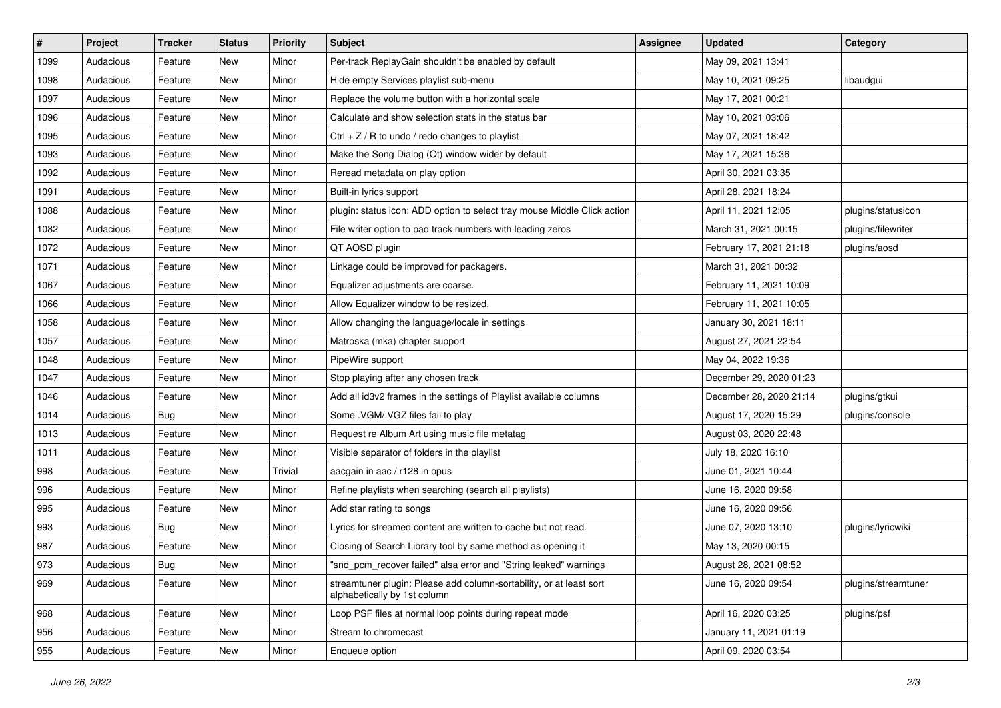| $\vert$ # | Project   | <b>Tracker</b> | <b>Status</b> | <b>Priority</b> | <b>Subject</b>                                                                                      | <b>Assignee</b> | <b>Updated</b>          | Category            |
|-----------|-----------|----------------|---------------|-----------------|-----------------------------------------------------------------------------------------------------|-----------------|-------------------------|---------------------|
| 1099      | Audacious | Feature        | New           | Minor           | Per-track ReplayGain shouldn't be enabled by default                                                |                 | May 09, 2021 13:41      |                     |
| 1098      | Audacious | Feature        | New           | Minor           | Hide empty Services playlist sub-menu                                                               |                 | May 10, 2021 09:25      | libaudgui           |
| 1097      | Audacious | Feature        | New           | Minor           | Replace the volume button with a horizontal scale                                                   |                 | May 17, 2021 00:21      |                     |
| 1096      | Audacious | Feature        | New           | Minor           | Calculate and show selection stats in the status bar                                                |                 | May 10, 2021 03:06      |                     |
| 1095      | Audacious | Feature        | New           | Minor           | Ctrl $+$ Z / R to undo / redo changes to playlist                                                   |                 | May 07, 2021 18:42      |                     |
| 1093      | Audacious | Feature        | New           | Minor           | Make the Song Dialog (Qt) window wider by default                                                   |                 | May 17, 2021 15:36      |                     |
| 1092      | Audacious | Feature        | New           | Minor           | Reread metadata on play option                                                                      |                 | April 30, 2021 03:35    |                     |
| 1091      | Audacious | Feature        | New           | Minor           | Built-in lyrics support                                                                             |                 | April 28, 2021 18:24    |                     |
| 1088      | Audacious | Feature        | New           | Minor           | plugin: status icon: ADD option to select tray mouse Middle Click action                            |                 | April 11, 2021 12:05    | plugins/statusicon  |
| 1082      | Audacious | Feature        | <b>New</b>    | Minor           | File writer option to pad track numbers with leading zeros                                          |                 | March 31, 2021 00:15    | plugins/filewriter  |
| 1072      | Audacious | Feature        | New           | Minor           | QT AOSD plugin                                                                                      |                 | February 17, 2021 21:18 | plugins/aosd        |
| 1071      | Audacious | Feature        | New           | Minor           | Linkage could be improved for packagers.                                                            |                 | March 31, 2021 00:32    |                     |
| 1067      | Audacious | Feature        | New           | Minor           | Equalizer adjustments are coarse.                                                                   |                 | February 11, 2021 10:09 |                     |
| 1066      | Audacious | Feature        | New           | Minor           | Allow Equalizer window to be resized.                                                               |                 | February 11, 2021 10:05 |                     |
| 1058      | Audacious | Feature        | New           | Minor           | Allow changing the language/locale in settings                                                      |                 | January 30, 2021 18:11  |                     |
| 1057      | Audacious | Feature        | New           | Minor           | Matroska (mka) chapter support                                                                      |                 | August 27, 2021 22:54   |                     |
| 1048      | Audacious | Feature        | New           | Minor           | PipeWire support                                                                                    |                 | May 04, 2022 19:36      |                     |
| 1047      | Audacious | Feature        | New           | Minor           | Stop playing after any chosen track                                                                 |                 | December 29, 2020 01:23 |                     |
| 1046      | Audacious | Feature        | New           | Minor           | Add all id3v2 frames in the settings of Playlist available columns                                  |                 | December 28, 2020 21:14 | plugins/gtkui       |
| 1014      | Audacious | <b>Bug</b>     | New           | Minor           | Some .VGM/.VGZ files fail to play                                                                   |                 | August 17, 2020 15:29   | plugins/console     |
| 1013      | Audacious | Feature        | New           | Minor           | Request re Album Art using music file metatag                                                       |                 | August 03, 2020 22:48   |                     |
| 1011      | Audacious | Feature        | New           | Minor           | Visible separator of folders in the playlist                                                        |                 | July 18, 2020 16:10     |                     |
| 998       | Audacious | Feature        | New           | Trivial         | aacgain in aac / r128 in opus                                                                       |                 | June 01, 2021 10:44     |                     |
| 996       | Audacious | Feature        | New           | Minor           | Refine playlists when searching (search all playlists)                                              |                 | June 16, 2020 09:58     |                     |
| 995       | Audacious | Feature        | New           | Minor           | Add star rating to songs                                                                            |                 | June 16, 2020 09:56     |                     |
| 993       | Audacious | Bug            | New           | Minor           | Lyrics for streamed content are written to cache but not read.                                      |                 | June 07, 2020 13:10     | plugins/lyricwiki   |
| 987       | Audacious | Feature        | New           | Minor           | Closing of Search Library tool by same method as opening it                                         |                 | May 13, 2020 00:15      |                     |
| 973       | Audacious | Bug            | New           | Minor           | "snd_pcm_recover failed" alsa error and "String leaked" warnings                                    |                 | August 28, 2021 08:52   |                     |
| 969       | Audacious | Feature        | New           | Minor           | streamtuner plugin: Please add column-sortability, or at least sort<br>alphabetically by 1st column |                 | June 16, 2020 09:54     | plugins/streamtuner |
| 968       | Audacious | Feature        | New           | Minor           | Loop PSF files at normal loop points during repeat mode                                             |                 | April 16, 2020 03:25    | plugins/psf         |
| 956       | Audacious | Feature        | New           | Minor           | Stream to chromecast                                                                                |                 | January 11, 2021 01:19  |                     |
| 955       | Audacious | Feature        | New           | Minor           | Enqueue option                                                                                      |                 | April 09, 2020 03:54    |                     |